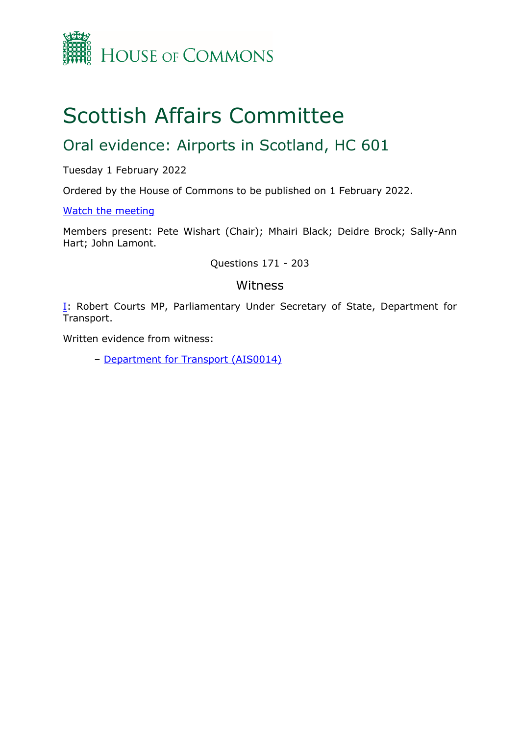

## Scottish Affairs Committee

## Oral evidence: Airports in Scotland, HC 601

Tuesday 1 February 2022

Ordered by the House of Commons to be published on 1 February 2022.

[Watch](https://parliamentlive.tv/event/index/ec13c4f4-9be9-4210-be9c-43d9a99465a6) [the](https://parliamentlive.tv/event/index/ec13c4f4-9be9-4210-be9c-43d9a99465a6) [meeting](https://parliamentlive.tv/event/index/ec13c4f4-9be9-4210-be9c-43d9a99465a6)

Members present: Pete Wishart (Chair); Mhairi Black; Deidre Brock; Sally-Ann Hart; John Lamont.

Questions 171 - 203

## Witness

[I:](#page-1-0) Robert Courts MP, Parliamentary Under Secretary of State, Department for Transport.

Written evidence from witness:

– [Department](https://committees.parliament.uk/writtenevidence/39996/html/) [for](https://committees.parliament.uk/writtenevidence/39996/html/) [Transport](https://committees.parliament.uk/writtenevidence/39996/html/) [\(AIS0014\)](https://committees.parliament.uk/writtenevidence/39996/html/)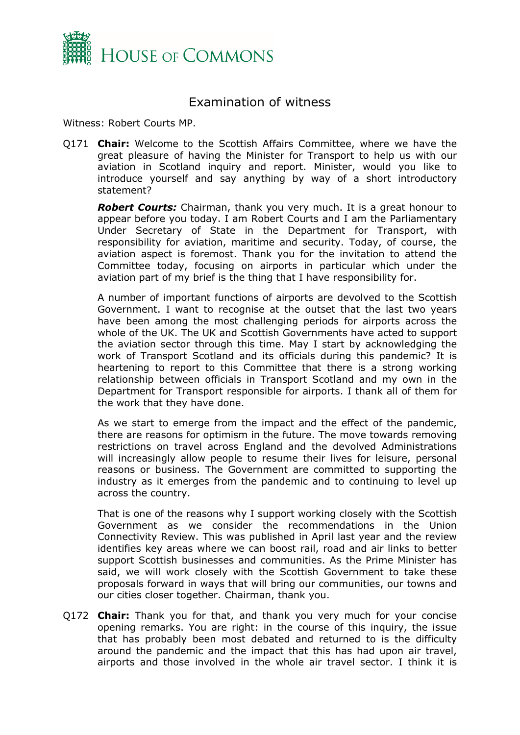

## <span id="page-1-0"></span>Examination of witness

Witness: Robert Courts MP.

Q171 **Chair:** Welcome to the Scottish Affairs Committee, where we have the great pleasure of having the Minister for Transport to help us with our aviation in Scotland inquiry and report. Minister, would you like to introduce yourself and say anything by way of a short introductory statement?

*Robert Courts:* Chairman, thank you very much. It is a great honour to appear before you today. I am Robert Courts and I am the Parliamentary Under Secretary of State in the Department for Transport, with responsibility for aviation, maritime and security. Today, of course, the aviation aspect is foremost. Thank you for the invitation to attend the Committee today, focusing on airports in particular which under the aviation part of my brief is the thing that I have responsibility for.

A number of important functions of airports are devolved to the Scottish Government. I want to recognise at the outset that the last two years have been among the most challenging periods for airports across the whole of the UK. The UK and Scottish Governments have acted to support the aviation sector through this time. May I start by acknowledging the work of Transport Scotland and its officials during this pandemic? It is heartening to report to this Committee that there is a strong working relationship between officials in Transport Scotland and my own in the Department for Transport responsible for airports. I thank all of them for the work that they have done.

As we start to emerge from the impact and the effect of the pandemic, there are reasons for optimism in the future. The move towards removing restrictions on travel across England and the devolved Administrations will increasingly allow people to resume their lives for leisure, personal reasons or business. The Government are committed to supporting the industry as it emerges from the pandemic and to continuing to level up across the country.

That is one of the reasons why I support working closely with the Scottish Government as we consider the recommendations in the Union Connectivity Review. This was published in April last year and the review identifies key areas where we can boost rail, road and air links to better support Scottish businesses and communities. As the Prime Minister has said, we will work closely with the Scottish Government to take these proposals forward in ways that will bring our communities, our towns and our cities closer together. Chairman, thank you.

Q172 **Chair:** Thank you for that, and thank you very much for your concise opening remarks. You are right: in the course of this inquiry, the issue that has probably been most debated and returned to is the difficulty around the pandemic and the impact that this has had upon air travel, airports and those involved in the whole air travel sector. I think it is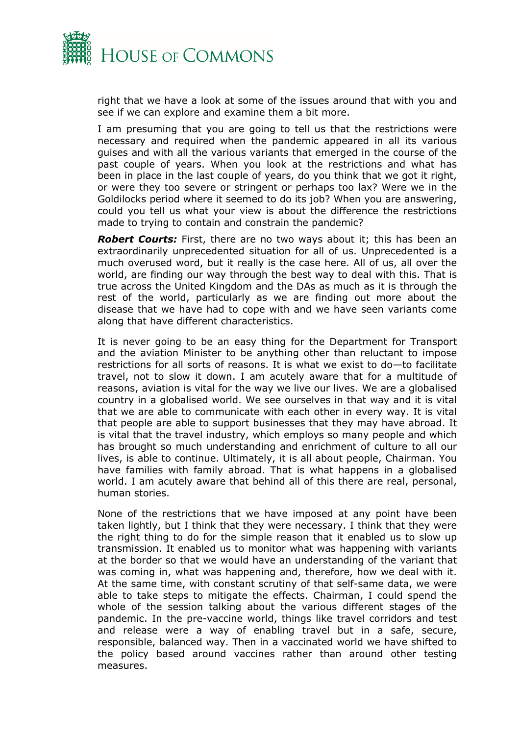

right that we have a look at some of the issues around that with you and see if we can explore and examine them a bit more.

I am presuming that you are going to tell us that the restrictions were necessary and required when the pandemic appeared in all its various guises and with all the various variants that emerged in the course of the past couple of years. When you look at the restrictions and what has been in place in the last couple of years, do you think that we got it right, or were they too severe or stringent or perhaps too lax? Were we in the Goldilocks period where it seemed to do its job? When you are answering, could you tell us what your view is about the difference the restrictions made to trying to contain and constrain the pandemic?

*Robert Courts:* First, there are no two ways about it; this has been an extraordinarily unprecedented situation for all of us. Unprecedented is a much overused word, but it really is the case here. All of us, all over the world, are finding our way through the best way to deal with this. That is true across the United Kingdom and the DAs as much as it is through the rest of the world, particularly as we are finding out more about the disease that we have had to cope with and we have seen variants come along that have different characteristics.

It is never going to be an easy thing for the Department for Transport and the aviation Minister to be anything other than reluctant to impose restrictions for all sorts of reasons. It is what we exist to do—to facilitate travel, not to slow it down. I am acutely aware that for a multitude of reasons, aviation is vital for the way we live our lives. We are a globalised country in a globalised world. We see ourselves in that way and it is vital that we are able to communicate with each other in every way. It is vital that people are able to support businesses that they may have abroad. It is vital that the travel industry, which employs so many people and which has brought so much understanding and enrichment of culture to all our lives, is able to continue. Ultimately, it is all about people, Chairman. You have families with family abroad. That is what happens in a globalised world. I am acutely aware that behind all of this there are real, personal, human stories.

None of the restrictions that we have imposed at any point have been taken lightly, but I think that they were necessary. I think that they were the right thing to do for the simple reason that it enabled us to slow up transmission. It enabled us to monitor what was happening with variants at the border so that we would have an understanding of the variant that was coming in, what was happening and, therefore, how we deal with it. At the same time, with constant scrutiny of that self-same data, we were able to take steps to mitigate the effects. Chairman, I could spend the whole of the session talking about the various different stages of the pandemic. In the pre-vaccine world, things like travel corridors and test and release were a way of enabling travel but in a safe, secure, responsible, balanced way. Then in a vaccinated world we have shifted to the policy based around vaccines rather than around other testing measures.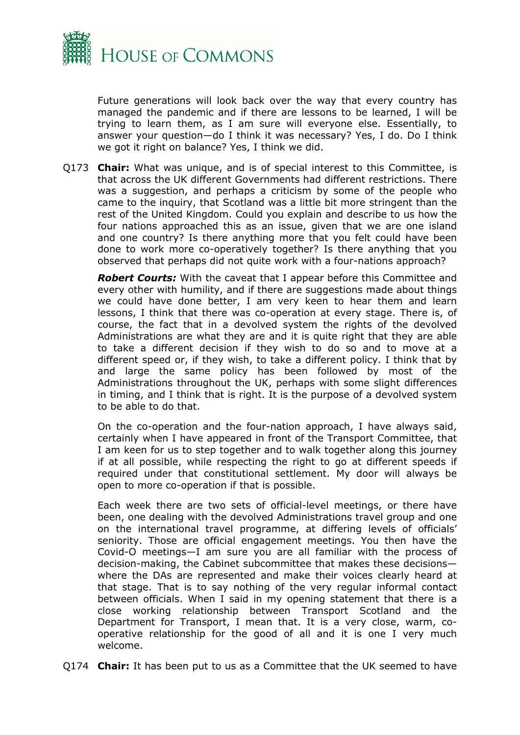

Future generations will look back over the way that every country has managed the pandemic and if there are lessons to be learned, I will be trying to learn them, as I am sure will everyone else. Essentially, to answer your question—do I think it was necessary? Yes, I do. Do I think we got it right on balance? Yes, I think we did.

Q173 **Chair:** What was unique, and is of special interest to this Committee, is that across the UK different Governments had different restrictions. There was a suggestion, and perhaps a criticism by some of the people who came to the inquiry, that Scotland was a little bit more stringent than the rest of the United Kingdom. Could you explain and describe to us how the four nations approached this as an issue, given that we are one island and one country? Is there anything more that you felt could have been done to work more co-operatively together? Is there anything that you observed that perhaps did not quite work with a four-nations approach?

*Robert Courts:* With the caveat that I appear before this Committee and every other with humility, and if there are suggestions made about things we could have done better, I am very keen to hear them and learn lessons, I think that there was co-operation at every stage. There is, of course, the fact that in a devolved system the rights of the devolved Administrations are what they are and it is quite right that they are able to take a different decision if they wish to do so and to move at a different speed or, if they wish, to take a different policy. I think that by and large the same policy has been followed by most of the Administrations throughout the UK, perhaps with some slight differences in timing, and I think that is right. It is the purpose of a devolved system to be able to do that.

On the co-operation and the four-nation approach, I have always said, certainly when I have appeared in front of the Transport Committee, that I am keen for us to step together and to walk together along this journey if at all possible, while respecting the right to go at different speeds if required under that constitutional settlement. My door will always be open to more co-operation if that is possible.

Each week there are two sets of official-level meetings, or there have been, one dealing with the devolved Administrations travel group and one on the international travel programme, at differing levels of officials' seniority. Those are official engagement meetings. You then have the Covid-O meetings—I am sure you are all familiar with the process of decision-making, the Cabinet subcommittee that makes these decisions where the DAs are represented and make their voices clearly heard at that stage. That is to say nothing of the very regular informal contact between officials. When I said in my opening statement that there is a close working relationship between Transport Scotland and the Department for Transport, I mean that. It is a very close, warm, cooperative relationship for the good of all and it is one I very much welcome.

Q174 **Chair:** It has been put to us as a Committee that the UK seemed to have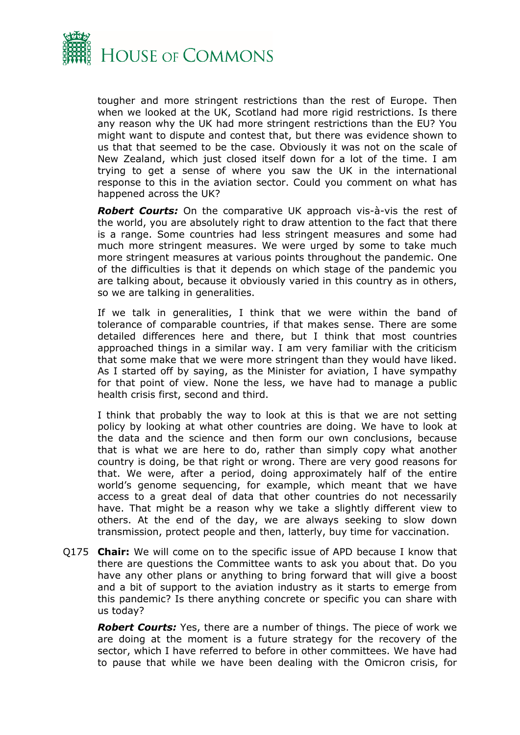

tougher and more stringent restrictions than the rest of Europe. Then when we looked at the UK, Scotland had more rigid restrictions. Is there any reason why the UK had more stringent restrictions than the EU? You might want to dispute and contest that, but there was evidence shown to us that that seemed to be the case. Obviously it was not on the scale of New Zealand, which just closed itself down for a lot of the time. I am trying to get a sense of where you saw the UK in the international response to this in the aviation sector. Could you comment on what has happened across the UK?

*Robert Courts:* On the comparative UK approach vis-à-vis the rest of the world, you are absolutely right to draw attention to the fact that there is a range. Some countries had less stringent measures and some had much more stringent measures. We were urged by some to take much more stringent measures at various points throughout the pandemic. One of the difficulties is that it depends on which stage of the pandemic you are talking about, because it obviously varied in this country as in others, so we are talking in generalities.

If we talk in generalities, I think that we were within the band of tolerance of comparable countries, if that makes sense. There are some detailed differences here and there, but I think that most countries approached things in a similar way. I am very familiar with the criticism that some make that we were more stringent than they would have liked. As I started off by saying, as the Minister for aviation, I have sympathy for that point of view. None the less, we have had to manage a public health crisis first, second and third.

I think that probably the way to look at this is that we are not setting policy by looking at what other countries are doing. We have to look at the data and the science and then form our own conclusions, because that is what we are here to do, rather than simply copy what another country is doing, be that right or wrong. There are very good reasons for that. We were, after a period, doing approximately half of the entire world's genome sequencing, for example, which meant that we have access to a great deal of data that other countries do not necessarily have. That might be a reason why we take a slightly different view to others. At the end of the day, we are always seeking to slow down transmission, protect people and then, latterly, buy time for vaccination.

Q175 **Chair:** We will come on to the specific issue of APD because I know that there are questions the Committee wants to ask you about that. Do you have any other plans or anything to bring forward that will give a boost and a bit of support to the aviation industry as it starts to emerge from this pandemic? Is there anything concrete or specific you can share with us today?

*Robert Courts:* Yes, there are a number of things. The piece of work we are doing at the moment is a future strategy for the recovery of the sector, which I have referred to before in other committees. We have had to pause that while we have been dealing with the Omicron crisis, for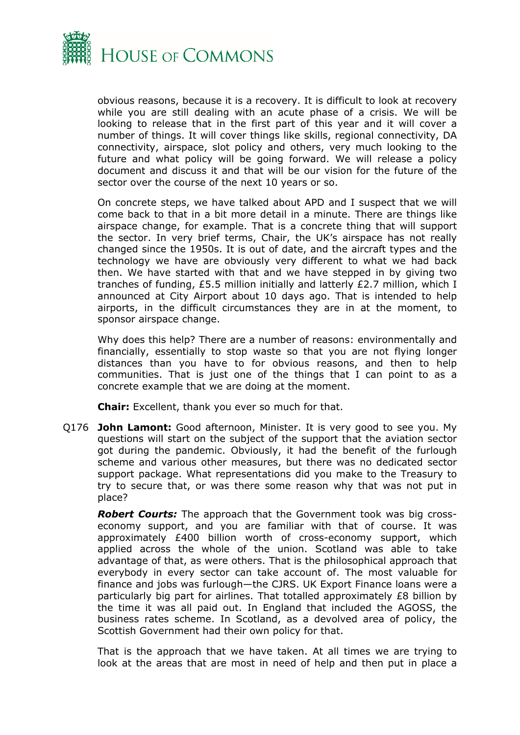

obvious reasons, because it is a recovery. It is difficult to look at recovery while you are still dealing with an acute phase of a crisis. We will be looking to release that in the first part of this year and it will cover a number of things. It will cover things like skills, regional connectivity, DA connectivity, airspace, slot policy and others, very much looking to the future and what policy will be going forward. We will release a policy document and discuss it and that will be our vision for the future of the sector over the course of the next 10 years or so.

On concrete steps, we have talked about APD and I suspect that we will come back to that in a bit more detail in a minute. There are things like airspace change, for example. That is a concrete thing that will support the sector. In very brief terms, Chair, the UK's airspace has not really changed since the 1950s. It is out of date, and the aircraft types and the technology we have are obviously very different to what we had back then. We have started with that and we have stepped in by giving two tranches of funding, £5.5 million initially and latterly £2.7 million, which I announced at City Airport about 10 days ago. That is intended to help airports, in the difficult circumstances they are in at the moment, to sponsor airspace change.

Why does this help? There are a number of reasons: environmentally and financially, essentially to stop waste so that you are not flying longer distances than you have to for obvious reasons, and then to help communities. That is just one of the things that I can point to as a concrete example that we are doing at the moment.

**Chair:** Excellent, thank you ever so much for that.

Q176 **John Lamont:** Good afternoon, Minister. It is very good to see you. My questions will start on the subject of the support that the aviation sector got during the pandemic. Obviously, it had the benefit of the furlough scheme and various other measures, but there was no dedicated sector support package. What representations did you make to the Treasury to try to secure that, or was there some reason why that was not put in place?

*Robert Courts:* The approach that the Government took was big crosseconomy support, and you are familiar with that of course. It was approximately £400 billion worth of cross-economy support, which applied across the whole of the union. Scotland was able to take advantage of that, as were others. That is the philosophical approach that everybody in every sector can take account of. The most valuable for finance and jobs was furlough—the CJRS. UK Export Finance loans were a particularly big part for airlines. That totalled approximately £8 billion by the time it was all paid out. In England that included the AGOSS, the business rates scheme. In Scotland, as a devolved area of policy, the Scottish Government had their own policy for that.

That is the approach that we have taken. At all times we are trying to look at the areas that are most in need of help and then put in place a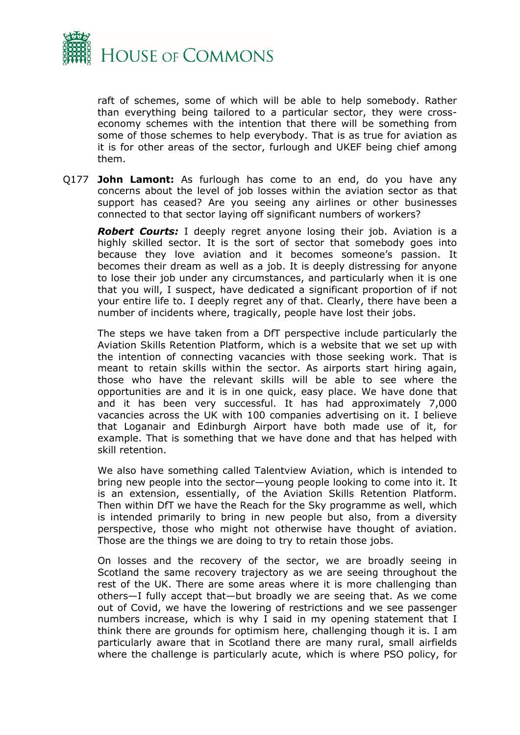

raft of schemes, some of which will be able to help somebody. Rather than everything being tailored to a particular sector, they were crosseconomy schemes with the intention that there will be something from some of those schemes to help everybody. That is as true for aviation as it is for other areas of the sector, furlough and UKEF being chief among them.

Q177 **John Lamont:** As furlough has come to an end, do you have any concerns about the level of job losses within the aviation sector as that support has ceased? Are you seeing any airlines or other businesses connected to that sector laying off significant numbers of workers?

*Robert Courts:* I deeply regret anyone losing their job. Aviation is a highly skilled sector. It is the sort of sector that somebody goes into because they love aviation and it becomes someone's passion. It becomes their dream as well as a job. It is deeply distressing for anyone to lose their job under any circumstances, and particularly when it is one that you will, I suspect, have dedicated a significant proportion of if not your entire life to. I deeply regret any of that. Clearly, there have been a number of incidents where, tragically, people have lost their jobs.

The steps we have taken from a DfT perspective include particularly the Aviation Skills Retention Platform, which is a website that we set up with the intention of connecting vacancies with those seeking work. That is meant to retain skills within the sector. As airports start hiring again, those who have the relevant skills will be able to see where the opportunities are and it is in one quick, easy place. We have done that and it has been very successful. It has had approximately 7,000 vacancies across the UK with 100 companies advertising on it. I believe that Loganair and Edinburgh Airport have both made use of it, for example. That is something that we have done and that has helped with skill retention.

We also have something called Talentview Aviation, which is intended to bring new people into the sector—young people looking to come into it. It is an extension, essentially, of the Aviation Skills Retention Platform. Then within DfT we have the Reach for the Sky programme as well, which is intended primarily to bring in new people but also, from a diversity perspective, those who might not otherwise have thought of aviation. Those are the things we are doing to try to retain those jobs.

On losses and the recovery of the sector, we are broadly seeing in Scotland the same recovery trajectory as we are seeing throughout the rest of the UK. There are some areas where it is more challenging than others—I fully accept that—but broadly we are seeing that. As we come out of Covid, we have the lowering of restrictions and we see passenger numbers increase, which is why I said in my opening statement that I think there are grounds for optimism here, challenging though it is. I am particularly aware that in Scotland there are many rural, small airfields where the challenge is particularly acute, which is where PSO policy, for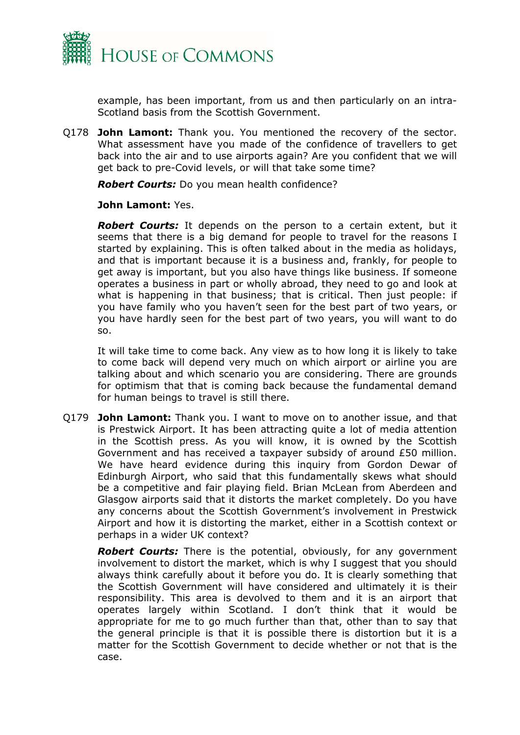

example, has been important, from us and then particularly on an intra-Scotland basis from the Scottish Government.

Q178 **John Lamont:** Thank you. You mentioned the recovery of the sector. What assessment have you made of the confidence of travellers to get back into the air and to use airports again? Are you confident that we will get back to pre-Covid levels, or will that take some time?

*Robert Courts:* Do you mean health confidence?

**John Lamont:** Yes.

*Robert Courts:* It depends on the person to a certain extent, but it seems that there is a big demand for people to travel for the reasons I started by explaining. This is often talked about in the media as holidays, and that is important because it is a business and, frankly, for people to get away is important, but you also have things like business. If someone operates a business in part or wholly abroad, they need to go and look at what is happening in that business; that is critical. Then just people: if you have family who you haven't seen for the best part of two years, or you have hardly seen for the best part of two years, you will want to do so.

It will take time to come back. Any view as to how long it is likely to take to come back will depend very much on which airport or airline you are talking about and which scenario you are considering. There are grounds for optimism that that is coming back because the fundamental demand for human beings to travel is still there.

Q179 **John Lamont:** Thank you. I want to move on to another issue, and that is Prestwick Airport. It has been attracting quite a lot of media attention in the Scottish press. As you will know, it is owned by the Scottish Government and has received a taxpayer subsidy of around £50 million. We have heard evidence during this inquiry from Gordon Dewar of Edinburgh Airport, who said that this fundamentally skews what should be a competitive and fair playing field. Brian McLean from Aberdeen and Glasgow airports said that it distorts the market completely. Do you have any concerns about the Scottish Government's involvement in Prestwick Airport and how it is distorting the market, either in a Scottish context or perhaps in a wider UK context?

*Robert Courts:* There is the potential, obviously, for any government involvement to distort the market, which is why I suggest that you should always think carefully about it before you do. It is clearly something that the Scottish Government will have considered and ultimately it is their responsibility. This area is devolved to them and it is an airport that operates largely within Scotland. I don't think that it would be appropriate for me to go much further than that, other than to say that the general principle is that it is possible there is distortion but it is a matter for the Scottish Government to decide whether or not that is the case.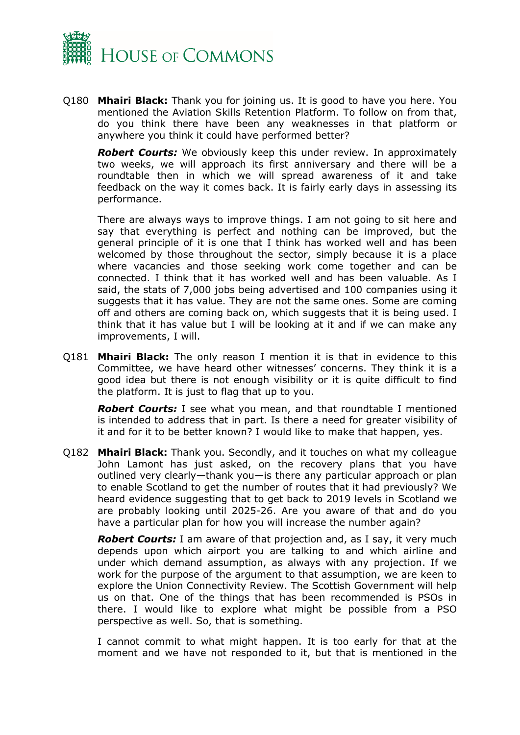

Q180 **Mhairi Black:** Thank you for joining us. It is good to have you here. You mentioned the Aviation Skills Retention Platform. To follow on from that, do you think there have been any weaknesses in that platform or anywhere you think it could have performed better?

*Robert Courts:* We obviously keep this under review. In approximately two weeks, we will approach its first anniversary and there will be a roundtable then in which we will spread awareness of it and take feedback on the way it comes back. It is fairly early days in assessing its performance.

There are always ways to improve things. I am not going to sit here and say that everything is perfect and nothing can be improved, but the general principle of it is one that I think has worked well and has been welcomed by those throughout the sector, simply because it is a place where vacancies and those seeking work come together and can be connected. I think that it has worked well and has been valuable. As I said, the stats of 7,000 jobs being advertised and 100 companies using it suggests that it has value. They are not the same ones. Some are coming off and others are coming back on, which suggests that it is being used. I think that it has value but I will be looking at it and if we can make any improvements, I will.

Q181 **Mhairi Black:** The only reason I mention it is that in evidence to this Committee, we have heard other witnesses' concerns. They think it is a good idea but there is not enough visibility or it is quite difficult to find the platform. It is just to flag that up to you.

*Robert Courts:* I see what you mean, and that roundtable I mentioned is intended to address that in part. Is there a need for greater visibility of it and for it to be better known? I would like to make that happen, yes.

Q182 **Mhairi Black:** Thank you. Secondly, and it touches on what my colleague John Lamont has just asked, on the recovery plans that you have outlined very clearly—thank you—is there any particular approach or plan to enable Scotland to get the number of routes that it had previously? We heard evidence suggesting that to get back to 2019 levels in Scotland we are probably looking until 2025-26. Are you aware of that and do you have a particular plan for how you will increase the number again?

*Robert Courts:* I am aware of that projection and, as I say, it very much depends upon which airport you are talking to and which airline and under which demand assumption, as always with any projection. If we work for the purpose of the argument to that assumption, we are keen to explore the Union Connectivity Review. The Scottish Government will help us on that. One of the things that has been recommended is PSOs in there. I would like to explore what might be possible from a PSO perspective as well. So, that is something.

I cannot commit to what might happen. It is too early for that at the moment and we have not responded to it, but that is mentioned in the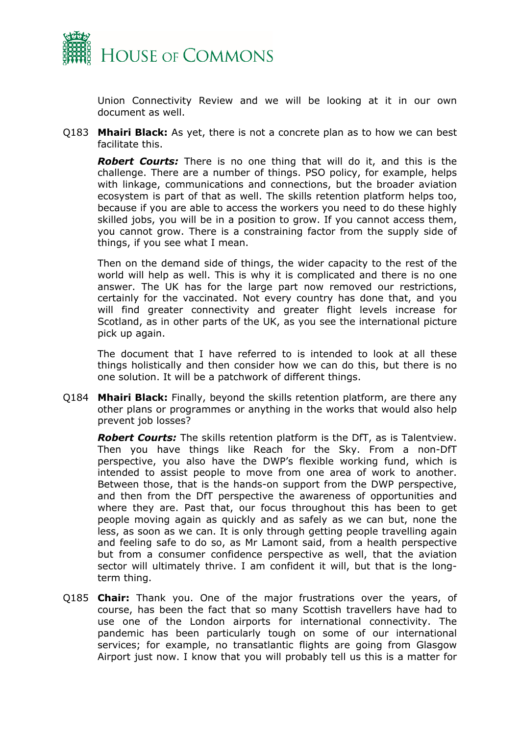

Union Connectivity Review and we will be looking at it in our own document as well.

Q183 **Mhairi Black:** As yet, there is not a concrete plan as to how we can best facilitate this.

*Robert Courts:* There is no one thing that will do it, and this is the challenge. There are a number of things. PSO policy, for example, helps with linkage, communications and connections, but the broader aviation ecosystem is part of that as well. The skills retention platform helps too, because if you are able to access the workers you need to do these highly skilled jobs, you will be in a position to grow. If you cannot access them, you cannot grow. There is a constraining factor from the supply side of things, if you see what I mean.

Then on the demand side of things, the wider capacity to the rest of the world will help as well. This is why it is complicated and there is no one answer. The UK has for the large part now removed our restrictions, certainly for the vaccinated. Not every country has done that, and you will find greater connectivity and greater flight levels increase for Scotland, as in other parts of the UK, as you see the international picture pick up again.

The document that I have referred to is intended to look at all these things holistically and then consider how we can do this, but there is no one solution. It will be a patchwork of different things.

Q184 **Mhairi Black:** Finally, beyond the skills retention platform, are there any other plans or programmes or anything in the works that would also help prevent job losses?

*Robert Courts:* The skills retention platform is the DfT, as is Talentview. Then you have things like Reach for the Sky. From a non-DfT perspective, you also have the DWP's flexible working fund, which is intended to assist people to move from one area of work to another. Between those, that is the hands-on support from the DWP perspective, and then from the DfT perspective the awareness of opportunities and where they are. Past that, our focus throughout this has been to get people moving again as quickly and as safely as we can but, none the less, as soon as we can. It is only through getting people travelling again and feeling safe to do so, as Mr Lamont said, from a health perspective but from a consumer confidence perspective as well, that the aviation sector will ultimately thrive. I am confident it will, but that is the longterm thing.

Q185 **Chair:** Thank you. One of the major frustrations over the years, of course, has been the fact that so many Scottish travellers have had to use one of the London airports for international connectivity. The pandemic has been particularly tough on some of our international services; for example, no transatlantic flights are going from Glasgow Airport just now. I know that you will probably tell us this is a matter for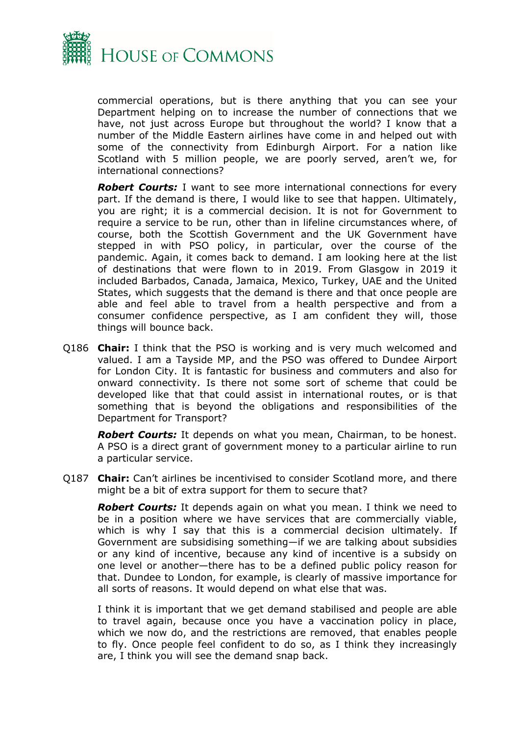

commercial operations, but is there anything that you can see your Department helping on to increase the number of connections that we have, not just across Europe but throughout the world? I know that a number of the Middle Eastern airlines have come in and helped out with some of the connectivity from Edinburgh Airport. For a nation like Scotland with 5 million people, we are poorly served, aren't we, for international connections?

*Robert Courts:* I want to see more international connections for every part. If the demand is there, I would like to see that happen. Ultimately, you are right; it is a commercial decision. It is not for Government to require a service to be run, other than in lifeline circumstances where, of course, both the Scottish Government and the UK Government have stepped in with PSO policy, in particular, over the course of the pandemic. Again, it comes back to demand. I am looking here at the list of destinations that were flown to in 2019. From Glasgow in 2019 it included Barbados, Canada, Jamaica, Mexico, Turkey, UAE and the United States, which suggests that the demand is there and that once people are able and feel able to travel from a health perspective and from a consumer confidence perspective, as I am confident they will, those things will bounce back.

Q186 **Chair:** I think that the PSO is working and is very much welcomed and valued. I am a Tayside MP, and the PSO was offered to Dundee Airport for London City. It is fantastic for business and commuters and also for onward connectivity. Is there not some sort of scheme that could be developed like that that could assist in international routes, or is that something that is beyond the obligations and responsibilities of the Department for Transport?

*Robert Courts:* It depends on what you mean, Chairman, to be honest. A PSO is a direct grant of government money to a particular airline to run a particular service.

Q187 **Chair:** Can't airlines be incentivised to consider Scotland more, and there might be a bit of extra support for them to secure that?

*Robert Courts:* It depends again on what you mean. I think we need to be in a position where we have services that are commercially viable, which is why I say that this is a commercial decision ultimately. If Government are subsidising something—if we are talking about subsidies or any kind of incentive, because any kind of incentive is a subsidy on one level or another—there has to be a defined public policy reason for that. Dundee to London, for example, is clearly of massive importance for all sorts of reasons. It would depend on what else that was.

I think it is important that we get demand stabilised and people are able to travel again, because once you have a vaccination policy in place, which we now do, and the restrictions are removed, that enables people to fly. Once people feel confident to do so, as I think they increasingly are, I think you will see the demand snap back.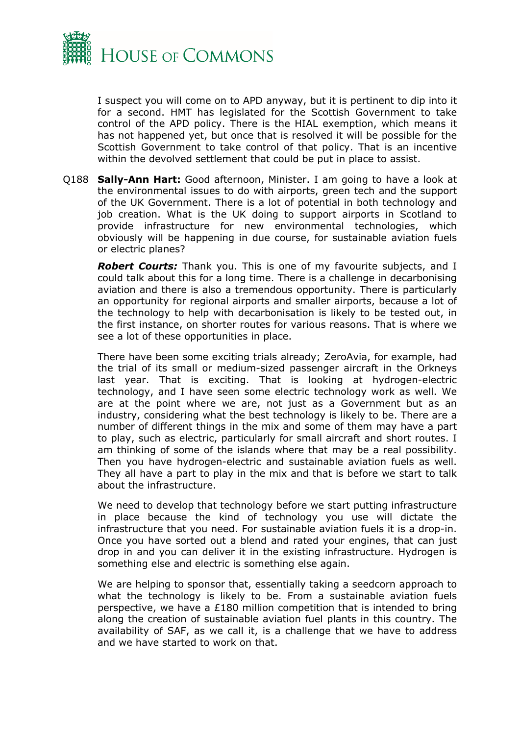

I suspect you will come on to APD anyway, but it is pertinent to dip into it for a second. HMT has legislated for the Scottish Government to take control of the APD policy. There is the HIAL exemption, which means it has not happened yet, but once that is resolved it will be possible for the Scottish Government to take control of that policy. That is an incentive within the devolved settlement that could be put in place to assist.

Q188 **Sally-Ann Hart:** Good afternoon, Minister. I am going to have a look at the environmental issues to do with airports, green tech and the support of the UK Government. There is a lot of potential in both technology and job creation. What is the UK doing to support airports in Scotland to provide infrastructure for new environmental technologies, which obviously will be happening in due course, for sustainable aviation fuels or electric planes?

*Robert Courts:* Thank you. This is one of my favourite subjects, and I could talk about this for a long time. There is a challenge in decarbonising aviation and there is also a tremendous opportunity. There is particularly an opportunity for regional airports and smaller airports, because a lot of the technology to help with decarbonisation is likely to be tested out, in the first instance, on shorter routes for various reasons. That is where we see a lot of these opportunities in place.

There have been some exciting trials already; ZeroAvia, for example, had the trial of its small or medium-sized passenger aircraft in the Orkneys last year. That is exciting. That is looking at hydrogen-electric technology, and I have seen some electric technology work as well. We are at the point where we are, not just as a Government but as an industry, considering what the best technology is likely to be. There are a number of different things in the mix and some of them may have a part to play, such as electric, particularly for small aircraft and short routes. I am thinking of some of the islands where that may be a real possibility. Then you have hydrogen-electric and sustainable aviation fuels as well. They all have a part to play in the mix and that is before we start to talk about the infrastructure.

We need to develop that technology before we start putting infrastructure in place because the kind of technology you use will dictate the infrastructure that you need. For sustainable aviation fuels it is a drop-in. Once you have sorted out a blend and rated your engines, that can just drop in and you can deliver it in the existing infrastructure. Hydrogen is something else and electric is something else again.

We are helping to sponsor that, essentially taking a seedcorn approach to what the technology is likely to be. From a sustainable aviation fuels perspective, we have a £180 million competition that is intended to bring along the creation of sustainable aviation fuel plants in this country. The availability of SAF, as we call it, is a challenge that we have to address and we have started to work on that.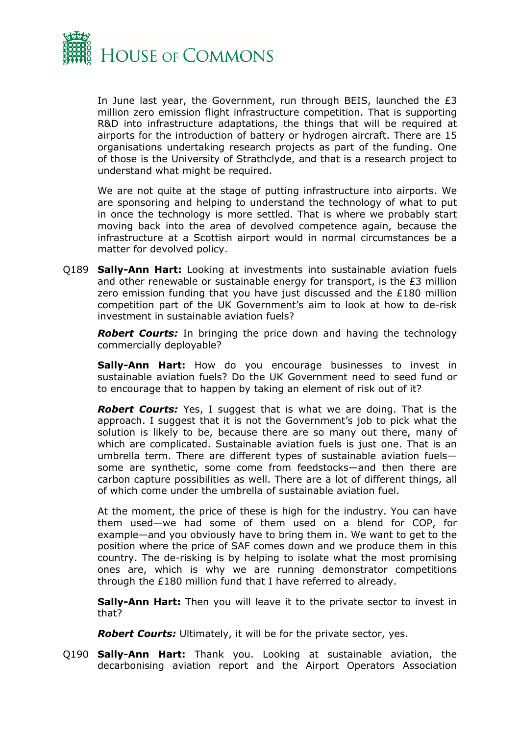

In June last year, the Government, run through BEIS, launched the £3 million zero emission flight infrastructure competition. That is supporting R&D into infrastructure adaptations, the things that will be required at airports for the introduction of battery or hydrogen aircraft. There are 15 organisations undertaking research projects as part of the funding. One of those is the University of Strathclyde, and that is a research project to understand what might be required.

We are not quite at the stage of putting infrastructure into airports. We are sponsoring and helping to understand the technology of what to put in once the technology is more settled. That is where we probably start moving back into the area of devolved competence again, because the infrastructure at a Scottish airport would in normal circumstances be a matter for devolved policy.

Q189 **Sally-Ann Hart:** Looking at investments into sustainable aviation fuels and other renewable or sustainable energy for transport, is the £3 million zero emission funding that you have just discussed and the £180 million competition part of the UK Government's aim to look at how to de-risk investment in sustainable aviation fuels?

*Robert Courts:* In bringing the price down and having the technology commercially deployable?

**Sally-Ann Hart:** How do you encourage businesses to invest in sustainable aviation fuels? Do the UK Government need to seed fund or to encourage that to happen by taking an element of risk out of it?

*Robert Courts:* Yes, I suggest that is what we are doing. That is the approach. I suggest that it is not the Government's job to pick what the solution is likely to be, because there are so many out there, many of which are complicated. Sustainable aviation fuels is just one. That is an umbrella term. There are different types of sustainable aviation fuels some are synthetic, some come from feedstocks—and then there are carbon capture possibilities as well. There are a lot of different things, all of which come under the umbrella of sustainable aviation fuel.

At the moment, the price of these is high for the industry. You can have them used—we had some of them used on a blend for COP, for example—and you obviously have to bring them in. We want to get to the position where the price of SAF comes down and we produce them in this country. The de-risking is by helping to isolate what the most promising ones are, which is why we are running demonstrator competitions through the £180 million fund that I have referred to already.

**Sally-Ann Hart:** Then you will leave it to the private sector to invest in that?

*Robert Courts:* Ultimately, it will be for the private sector, yes.

Q190 **Sally-Ann Hart:** Thank you. Looking at sustainable aviation, the decarbonising aviation report and the Airport Operators Association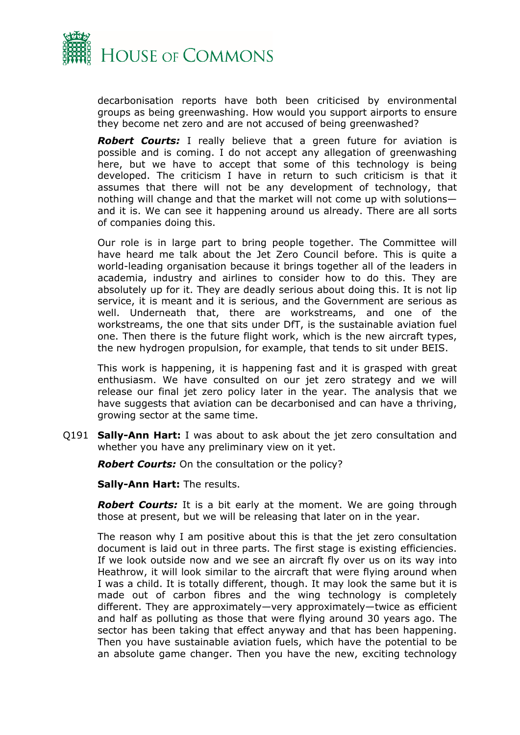

decarbonisation reports have both been criticised by environmental groups as being greenwashing. How would you support airports to ensure they become net zero and are not accused of being greenwashed?

*Robert Courts:* I really believe that a green future for aviation is possible and is coming. I do not accept any allegation of greenwashing here, but we have to accept that some of this technology is being developed. The criticism I have in return to such criticism is that it assumes that there will not be any development of technology, that nothing will change and that the market will not come up with solutions and it is. We can see it happening around us already. There are all sorts of companies doing this.

Our role is in large part to bring people together. The Committee will have heard me talk about the Jet Zero Council before. This is quite a world-leading organisation because it brings together all of the leaders in academia, industry and airlines to consider how to do this. They are absolutely up for it. They are deadly serious about doing this. It is not lip service, it is meant and it is serious, and the Government are serious as well. Underneath that, there are workstreams, and one of the workstreams, the one that sits under DfT, is the sustainable aviation fuel one. Then there is the future flight work, which is the new aircraft types, the new hydrogen propulsion, for example, that tends to sit under BEIS.

This work is happening, it is happening fast and it is grasped with great enthusiasm. We have consulted on our jet zero strategy and we will release our final jet zero policy later in the year. The analysis that we have suggests that aviation can be decarbonised and can have a thriving, growing sector at the same time.

Q191 **Sally-Ann Hart:** I was about to ask about the jet zero consultation and whether you have any preliminary view on it yet.

*Robert Courts:* On the consultation or the policy?

**Sally-Ann Hart:** The results.

*Robert Courts:* It is a bit early at the moment. We are going through those at present, but we will be releasing that later on in the year.

The reason why I am positive about this is that the jet zero consultation document is laid out in three parts. The first stage is existing efficiencies. If we look outside now and we see an aircraft fly over us on its way into Heathrow, it will look similar to the aircraft that were flying around when I was a child. It is totally different, though. It may look the same but it is made out of carbon fibres and the wing technology is completely different. They are approximately—very approximately—twice as efficient and half as polluting as those that were flying around 30 years ago. The sector has been taking that effect anyway and that has been happening. Then you have sustainable aviation fuels, which have the potential to be an absolute game changer. Then you have the new, exciting technology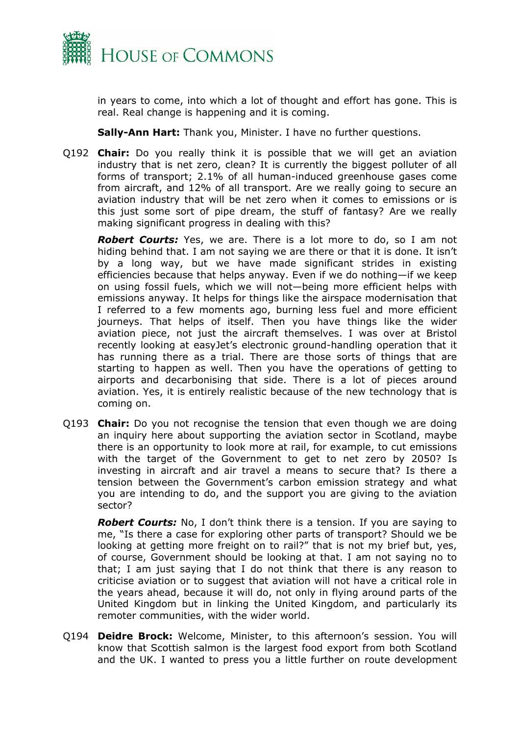

in years to come, into which a lot of thought and effort has gone. This is real. Real change is happening and it is coming.

**Sally-Ann Hart:** Thank you, Minister. I have no further questions.

Q192 **Chair:** Do you really think it is possible that we will get an aviation industry that is net zero, clean? It is currently the biggest polluter of all forms of transport; 2.1% of all human-induced greenhouse gases come from aircraft, and 12% of all transport. Are we really going to secure an aviation industry that will be net zero when it comes to emissions or is this just some sort of pipe dream, the stuff of fantasy? Are we really making significant progress in dealing with this?

*Robert Courts:* Yes, we are. There is a lot more to do, so I am not hiding behind that. I am not saying we are there or that it is done. It isn't by a long way, but we have made significant strides in existing efficiencies because that helps anyway. Even if we do nothing—if we keep on using fossil fuels, which we will not—being more efficient helps with emissions anyway. It helps for things like the airspace modernisation that I referred to a few moments ago, burning less fuel and more efficient journeys. That helps of itself. Then you have things like the wider aviation piece, not just the aircraft themselves. I was over at Bristol recently looking at easyJet's electronic ground-handling operation that it has running there as a trial. There are those sorts of things that are starting to happen as well. Then you have the operations of getting to airports and decarbonising that side. There is a lot of pieces around aviation. Yes, it is entirely realistic because of the new technology that is coming on.

Q193 **Chair:** Do you not recognise the tension that even though we are doing an inquiry here about supporting the aviation sector in Scotland, maybe there is an opportunity to look more at rail, for example, to cut emissions with the target of the Government to get to net zero by 2050? Is investing in aircraft and air travel a means to secure that? Is there a tension between the Government's carbon emission strategy and what you are intending to do, and the support you are giving to the aviation sector?

*Robert Courts:* No, I don't think there is a tension. If you are saying to me, "Is there a case for exploring other parts of transport? Should we be looking at getting more freight on to rail?" that is not my brief but, yes, of course, Government should be looking at that. I am not saying no to that; I am just saying that I do not think that there is any reason to criticise aviation or to suggest that aviation will not have a critical role in the years ahead, because it will do, not only in flying around parts of the United Kingdom but in linking the United Kingdom, and particularly its remoter communities, with the wider world.

Q194 **Deidre Brock:** Welcome, Minister, to this afternoon's session. You will know that Scottish salmon is the largest food export from both Scotland and the UK. I wanted to press you a little further on route development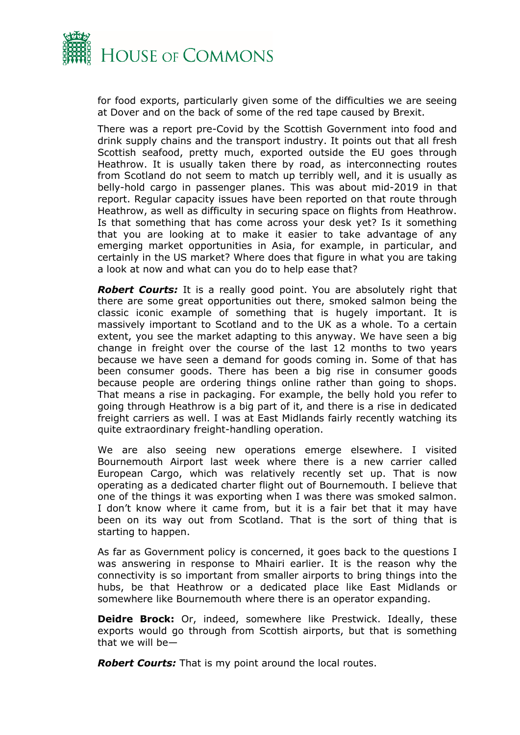

for food exports, particularly given some of the difficulties we are seeing at Dover and on the back of some of the red tape caused by Brexit.

There was a report pre-Covid by the Scottish Government into food and drink supply chains and the transport industry. It points out that all fresh Scottish seafood, pretty much, exported outside the EU goes through Heathrow. It is usually taken there by road, as interconnecting routes from Scotland do not seem to match up terribly well, and it is usually as belly-hold cargo in passenger planes. This was about mid-2019 in that report. Regular capacity issues have been reported on that route through Heathrow, as well as difficulty in securing space on flights from Heathrow. Is that something that has come across your desk yet? Is it something that you are looking at to make it easier to take advantage of any emerging market opportunities in Asia, for example, in particular, and certainly in the US market? Where does that figure in what you are taking a look at now and what can you do to help ease that?

*Robert Courts:* It is a really good point. You are absolutely right that there are some great opportunities out there, smoked salmon being the classic iconic example of something that is hugely important. It is massively important to Scotland and to the UK as a whole. To a certain extent, you see the market adapting to this anyway. We have seen a big change in freight over the course of the last 12 months to two years because we have seen a demand for goods coming in. Some of that has been consumer goods. There has been a big rise in consumer goods because people are ordering things online rather than going to shops. That means a rise in packaging. For example, the belly hold you refer to going through Heathrow is a big part of it, and there is a rise in dedicated freight carriers as well. I was at East Midlands fairly recently watching its quite extraordinary freight-handling operation.

We are also seeing new operations emerge elsewhere. I visited Bournemouth Airport last week where there is a new carrier called European Cargo, which was relatively recently set up. That is now operating as a dedicated charter flight out of Bournemouth. I believe that one of the things it was exporting when I was there was smoked salmon. I don't know where it came from, but it is a fair bet that it may have been on its way out from Scotland. That is the sort of thing that is starting to happen.

As far as Government policy is concerned, it goes back to the questions I was answering in response to Mhairi earlier. It is the reason why the connectivity is so important from smaller airports to bring things into the hubs, be that Heathrow or a dedicated place like East Midlands or somewhere like Bournemouth where there is an operator expanding.

**Deidre Brock:** Or, indeed, somewhere like Prestwick. Ideally, these exports would go through from Scottish airports, but that is something that we will be—

*Robert Courts:* That is my point around the local routes.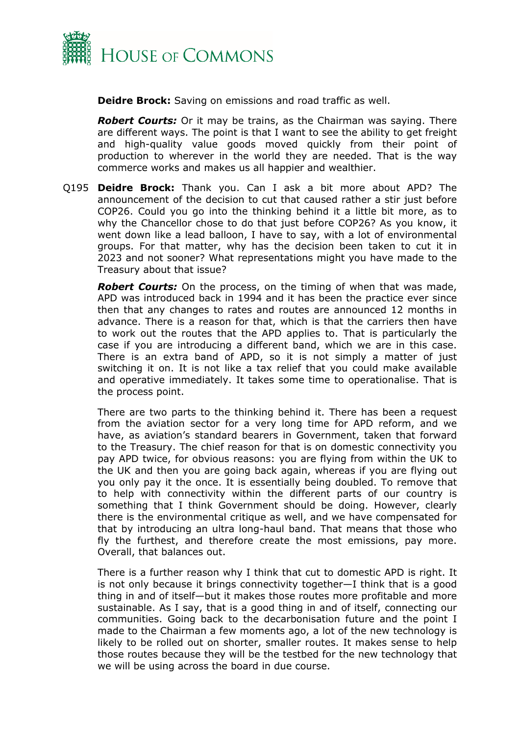

**Deidre Brock:** Saving on emissions and road traffic as well.

*Robert Courts:* Or it may be trains, as the Chairman was saying. There are different ways. The point is that I want to see the ability to get freight and high-quality value goods moved quickly from their point of production to wherever in the world they are needed. That is the way commerce works and makes us all happier and wealthier.

Q195 **Deidre Brock:** Thank you. Can I ask a bit more about APD? The announcement of the decision to cut that caused rather a stir just before COP26. Could you go into the thinking behind it a little bit more, as to why the Chancellor chose to do that just before COP26? As you know, it went down like a lead balloon, I have to say, with a lot of environmental groups. For that matter, why has the decision been taken to cut it in 2023 and not sooner? What representations might you have made to the Treasury about that issue?

*Robert Courts:* On the process, on the timing of when that was made, APD was introduced back in 1994 and it has been the practice ever since then that any changes to rates and routes are announced 12 months in advance. There is a reason for that, which is that the carriers then have to work out the routes that the APD applies to. That is particularly the case if you are introducing a different band, which we are in this case. There is an extra band of APD, so it is not simply a matter of just switching it on. It is not like a tax relief that you could make available and operative immediately. It takes some time to operationalise. That is the process point.

There are two parts to the thinking behind it. There has been a request from the aviation sector for a very long time for APD reform, and we have, as aviation's standard bearers in Government, taken that forward to the Treasury. The chief reason for that is on domestic connectivity you pay APD twice, for obvious reasons: you are flying from within the UK to the UK and then you are going back again, whereas if you are flying out you only pay it the once. It is essentially being doubled. To remove that to help with connectivity within the different parts of our country is something that I think Government should be doing. However, clearly there is the environmental critique as well, and we have compensated for that by introducing an ultra long-haul band. That means that those who fly the furthest, and therefore create the most emissions, pay more. Overall, that balances out.

There is a further reason why I think that cut to domestic APD is right. It is not only because it brings connectivity together—I think that is a good thing in and of itself—but it makes those routes more profitable and more sustainable. As I say, that is a good thing in and of itself, connecting our communities. Going back to the decarbonisation future and the point I made to the Chairman a few moments ago, a lot of the new technology is likely to be rolled out on shorter, smaller routes. It makes sense to help those routes because they will be the testbed for the new technology that we will be using across the board in due course.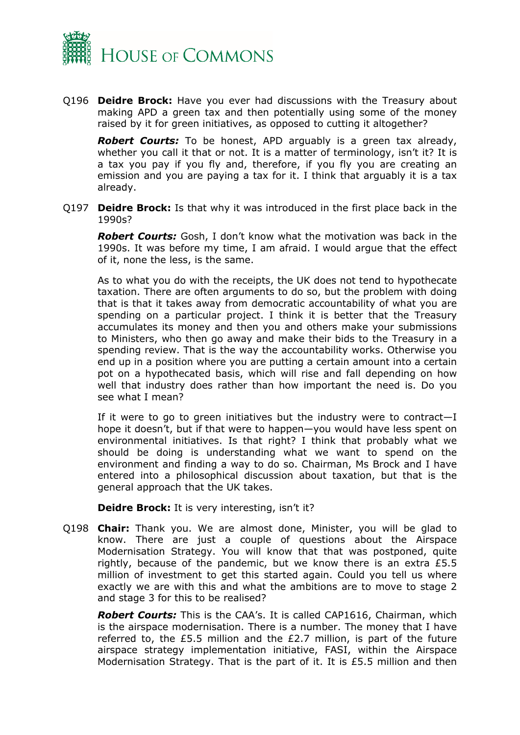

Q196 **Deidre Brock:** Have you ever had discussions with the Treasury about making APD a green tax and then potentially using some of the money raised by it for green initiatives, as opposed to cutting it altogether?

*Robert Courts:* To be honest, APD arguably is a green tax already, whether you call it that or not. It is a matter of terminology, isn't it? It is a tax you pay if you fly and, therefore, if you fly you are creating an emission and you are paying a tax for it. I think that arguably it is a tax already.

Q197 **Deidre Brock:** Is that why it was introduced in the first place back in the 1990s?

*Robert Courts:* Gosh, I don't know what the motivation was back in the 1990s. It was before my time, I am afraid. I would argue that the effect of it, none the less, is the same.

As to what you do with the receipts, the UK does not tend to hypothecate taxation. There are often arguments to do so, but the problem with doing that is that it takes away from democratic accountability of what you are spending on a particular project. I think it is better that the Treasury accumulates its money and then you and others make your submissions to Ministers, who then go away and make their bids to the Treasury in a spending review. That is the way the accountability works. Otherwise you end up in a position where you are putting a certain amount into a certain pot on a hypothecated basis, which will rise and fall depending on how well that industry does rather than how important the need is. Do you see what I mean?

If it were to go to green initiatives but the industry were to contract—I hope it doesn't, but if that were to happen—you would have less spent on environmental initiatives. Is that right? I think that probably what we should be doing is understanding what we want to spend on the environment and finding a way to do so. Chairman, Ms Brock and I have entered into a philosophical discussion about taxation, but that is the general approach that the UK takes.

**Deidre Brock:** It is very interesting, isn't it?

Q198 **Chair:** Thank you. We are almost done, Minister, you will be glad to know. There are just a couple of questions about the Airspace Modernisation Strategy. You will know that that was postponed, quite rightly, because of the pandemic, but we know there is an extra £5.5 million of investment to get this started again. Could you tell us where exactly we are with this and what the ambitions are to move to stage 2 and stage 3 for this to be realised?

*Robert Courts:* This is the CAA's. It is called CAP1616, Chairman, which is the airspace modernisation. There is a number. The money that I have referred to, the £5.5 million and the £2.7 million, is part of the future airspace strategy implementation initiative, FASI, within the Airspace Modernisation Strategy. That is the part of it. It is £5.5 million and then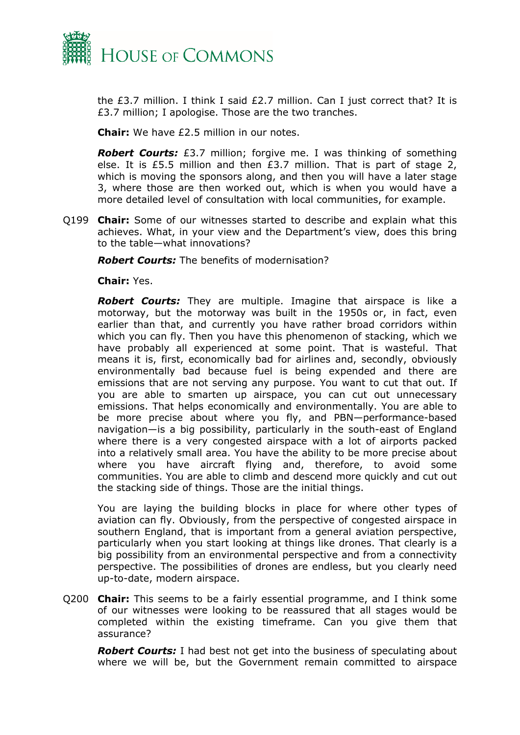

the £3.7 million. I think I said £2.7 million. Can I just correct that? It is £3.7 million; I apologise. Those are the two tranches.

**Chair:** We have £2.5 million in our notes.

*Robert Courts:* £3.7 million; forgive me. I was thinking of something else. It is £5.5 million and then £3.7 million. That is part of stage 2, which is moving the sponsors along, and then you will have a later stage 3, where those are then worked out, which is when you would have a more detailed level of consultation with local communities, for example.

Q199 **Chair:** Some of our witnesses started to describe and explain what this achieves. What, in your view and the Department's view, does this bring to the table—what innovations?

*Robert Courts:* The benefits of modernisation?

**Chair:** Yes.

*Robert Courts:* They are multiple. Imagine that airspace is like a motorway, but the motorway was built in the 1950s or, in fact, even earlier than that, and currently you have rather broad corridors within which you can fly. Then you have this phenomenon of stacking, which we have probably all experienced at some point. That is wasteful. That means it is, first, economically bad for airlines and, secondly, obviously environmentally bad because fuel is being expended and there are emissions that are not serving any purpose. You want to cut that out. If you are able to smarten up airspace, you can cut out unnecessary emissions. That helps economically and environmentally. You are able to be more precise about where you fly, and PBN—performance-based navigation—is a big possibility, particularly in the south-east of England where there is a very congested airspace with a lot of airports packed into a relatively small area. You have the ability to be more precise about where you have aircraft flying and, therefore, to avoid some communities. You are able to climb and descend more quickly and cut out the stacking side of things. Those are the initial things.

You are laying the building blocks in place for where other types of aviation can fly. Obviously, from the perspective of congested airspace in southern England, that is important from a general aviation perspective, particularly when you start looking at things like drones. That clearly is a big possibility from an environmental perspective and from a connectivity perspective. The possibilities of drones are endless, but you clearly need up-to-date, modern airspace.

Q200 **Chair:** This seems to be a fairly essential programme, and I think some of our witnesses were looking to be reassured that all stages would be completed within the existing timeframe. Can you give them that assurance?

*Robert Courts:* I had best not get into the business of speculating about where we will be, but the Government remain committed to airspace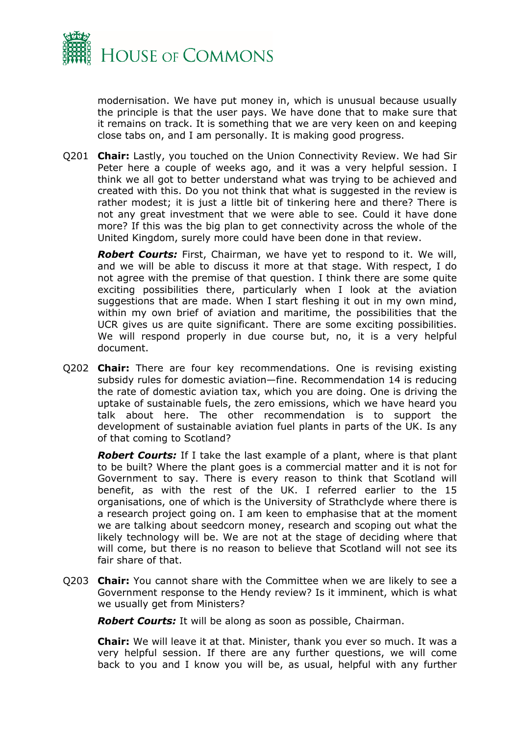

modernisation. We have put money in, which is unusual because usually the principle is that the user pays. We have done that to make sure that it remains on track. It is something that we are very keen on and keeping close tabs on, and I am personally. It is making good progress.

Q201 **Chair:** Lastly, you touched on the Union Connectivity Review. We had Sir Peter here a couple of weeks ago, and it was a very helpful session. I think we all got to better understand what was trying to be achieved and created with this. Do you not think that what is suggested in the review is rather modest; it is just a little bit of tinkering here and there? There is not any great investment that we were able to see. Could it have done more? If this was the big plan to get connectivity across the whole of the United Kingdom, surely more could have been done in that review.

*Robert Courts:* First, Chairman, we have yet to respond to it. We will, and we will be able to discuss it more at that stage. With respect, I do not agree with the premise of that question. I think there are some quite exciting possibilities there, particularly when I look at the aviation suggestions that are made. When I start fleshing it out in my own mind, within my own brief of aviation and maritime, the possibilities that the UCR gives us are quite significant. There are some exciting possibilities. We will respond properly in due course but, no, it is a very helpful document.

Q202 **Chair:** There are four key recommendations. One is revising existing subsidy rules for domestic aviation—fine. Recommendation 14 is reducing the rate of domestic aviation tax, which you are doing. One is driving the uptake of sustainable fuels, the zero emissions, which we have heard you talk about here. The other recommendation is to support the development of sustainable aviation fuel plants in parts of the UK. Is any of that coming to Scotland?

*Robert Courts:* If I take the last example of a plant, where is that plant to be built? Where the plant goes is a commercial matter and it is not for Government to say. There is every reason to think that Scotland will benefit, as with the rest of the UK. I referred earlier to the 15 organisations, one of which is the University of Strathclyde where there is a research project going on. I am keen to emphasise that at the moment we are talking about seedcorn money, research and scoping out what the likely technology will be. We are not at the stage of deciding where that will come, but there is no reason to believe that Scotland will not see its fair share of that.

Q203 **Chair:** You cannot share with the Committee when we are likely to see a Government response to the Hendy review? Is it imminent, which is what we usually get from Ministers?

*Robert Courts:* It will be along as soon as possible, Chairman.

**Chair:** We will leave it at that. Minister, thank you ever so much. It was a very helpful session. If there are any further questions, we will come back to you and I know you will be, as usual, helpful with any further